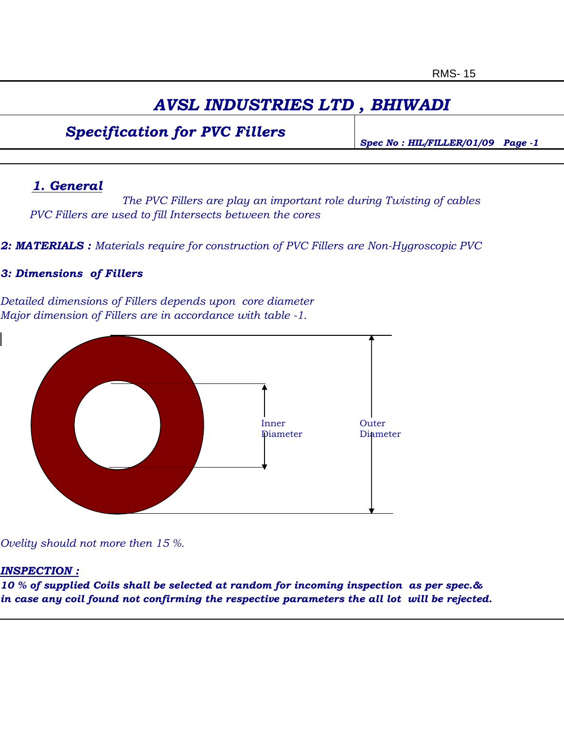## *AVSL INDUSTRIES LTD , BHIWADI*

### *Specification for PVC Fillers*

*Spec No : HIL/FILLER/01/09 Page -1*

#### *1. General*

*The PVC Fillers are play an important role during Twisting of cables PVC Fillers are used to fill Intersects between the cores*

*2: MATERIALS : Materials require for construction of PVC Fillers are Non-Hygroscopic PVC*

#### *3: Dimensions of Fillers*

*Detailed dimensions of Fillers depends upon core diameter Major dimension of Fillers are in accordance with table -1.*



*Ovelity should not more then 15 %.*

#### *INSPECTION :*

*10 % of supplied Coils shall be selected at random for incoming inspection as per spec.& in case any coil found not confirming the respective parameters the all lot will be rejected.*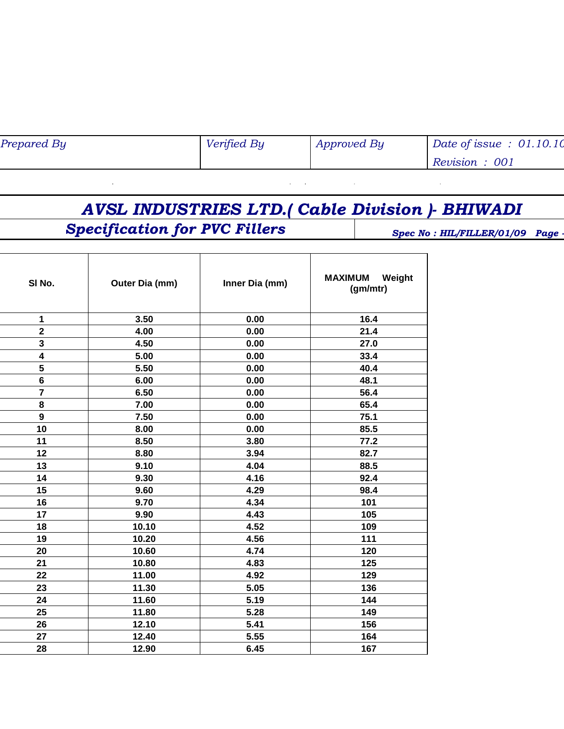| Prepared By | Verified By | <b>Approved By</b> | Date of issue: $01.10.10$ |
|-------------|-------------|--------------------|---------------------------|
|             |             |                    | Revision: 001             |

*AVSL INDUSTRIES LTD.( Cable Division )- BHIWADI*

 $\alpha=1$ 

# **Specification for PVC Fillers** Spec No : HIL/FILLER/01/09 Page

 $\bar{\mathbf{r}}$ 

 $\mathbf{r} \rightarrow \mathbf{r}$  and  $\mathbf{r} \rightarrow \mathbf{r}$ 

| SI No.                  | Outer Dia (mm) | Inner Dia (mm) | <b>MAXIMUM</b><br>Weight<br>(gm/mtr) |
|-------------------------|----------------|----------------|--------------------------------------|
| $\mathbf 1$             | 3.50           | 0.00           | 16.4                                 |
| $\overline{\mathbf{2}}$ | 4.00           | 0.00           | 21.4                                 |
| 3                       | 4.50           | 0.00           | 27.0                                 |
| $\overline{\mathbf{4}}$ | 5.00           | 0.00           | 33.4                                 |
| 5                       | 5.50           | 0.00           | 40.4                                 |
| $6\phantom{1}$          | 6.00           | 0.00           | 48.1                                 |
| $\overline{7}$          | 6.50           | 0.00           | 56.4                                 |
| 8                       | 7.00           | 0.00           | 65.4                                 |
| $\mathbf{9}$            | 7.50           | 0.00           | 75.1                                 |
| 10                      | 8.00           | 0.00           | 85.5                                 |
| 11                      | 8.50           | 3.80           | 77.2                                 |
| 12                      | 8.80           | 3.94           | 82.7                                 |
| 13                      | 9.10           | 4.04           | 88.5                                 |
| 14                      | 9.30           | 4.16           | 92.4                                 |
| 15                      | 9.60           | 4.29           | 98.4                                 |
| 16                      | 9.70           | 4.34           | 101                                  |
| 17                      | 9.90           | 4.43           | 105                                  |
| 18                      | 10.10          | 4.52           | 109                                  |
| 19                      | 10.20          | 4.56           | 111                                  |
| 20                      | 10.60          | 4.74           | 120                                  |
| 21                      | 10.80          | 4.83           | 125                                  |
| 22                      | 11.00          | 4.92           | 129                                  |
| 23                      | 11.30          | 5.05           | 136                                  |
| 24                      | 11.60          | 5.19           | 144                                  |
| 25                      | 11.80          | 5.28           | 149                                  |
| 26                      | 12.10          | 5.41           | 156                                  |
| 27                      | 12.40          | 5.55           | 164                                  |
| 28                      | 12.90          | 6.45           | 167                                  |